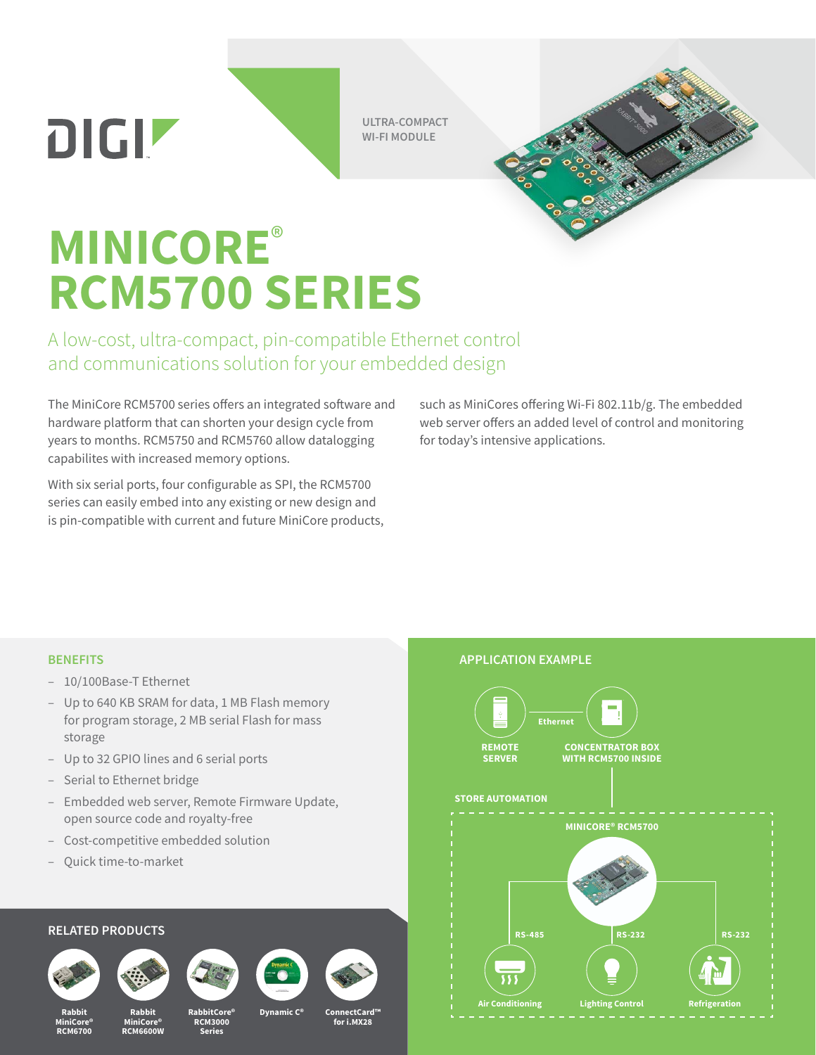**ULTRA-COMPACT WI-FI MODULE**



## **MINICORE**® **RCM5700 SERIES**

A low-cost, ultra-compact, pin-compatible Ethernet control and communications solution for your embedded design

The MiniCore RCM5700 series offers an integrated software and hardware platform that can shorten your design cycle from years to months. RCM5750 and RCM5760 allow datalogging capabilites with increased memory options.

With six serial ports, four configurable as SPI, the RCM5700 series can easily embed into any existing or new design and is pin-compatible with current and future MiniCore products, such as MiniCores offering Wi-Fi 802.11b/g. The embedded web server offers an added level of control and monitoring for today's intensive applications.

– 10/100Base-T Ethernet

DIGIT

- Up to 640 KB SRAM for data, 1 MB Flash memory for program storage, 2 MB serial Flash for mass storage
- Up to 32 GPIO lines and 6 serial ports
- Serial to Ethernet bridge
- Embedded web server, Remote Firmware Update, open source code and royalty-free
- Cost-competitive embedded solution
- Quick time-to-market

## **RELATED PRODUCTS**









**Series**





**Rabbit MiniCore® RCM6700**

**RabbitCore® RCM3000 Rabbit MiniCore® RCM6600W**

**ConnectCard™ for i.MX28**